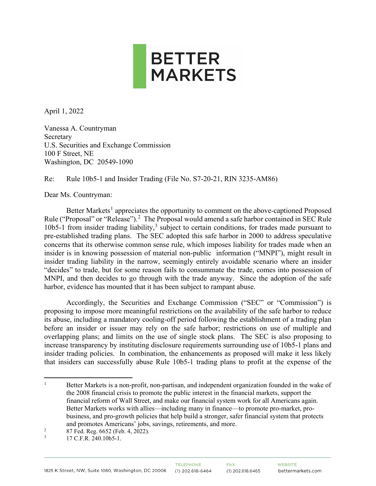

April 1, 2022

Vanessa A. Countryman Secretary U.S. Securities and Exchange Commission 100 F Street, NE Washington, DC 20549-1090

Re: Rule 10b5-1 and Insider Trading (File No. S7-20-21, RIN 3235-AM86)

Dear Ms. Countryman:

Better Markets<sup>[1](#page-0-0)</sup> appreciates the opportunity to comment on the above-captioned Proposed Rule ("Proposal" or "Release").<sup>[2](#page-0-1)</sup> The Proposal would amend a safe harbor contained in SEC Rule 10b5-1 from insider trading liability,<sup>[3](#page-0-2)</sup> subject to certain conditions, for trades made pursuant to pre-established trading plans. The SEC adopted this safe harbor in 2000 to address speculative concerns that its otherwise common sense rule, which imposes liability for trades made when an insider is in knowing possession of material non-public information ("MNPI"), might result in insider trading liability in the narrow, seemingly entirely avoidable scenario where an insider "decides" to trade, but for some reason fails to consummate the trade, comes into possession of MNPI, and then decides to go through with the trade anyway. Since the adoption of the safe harbor, evidence has mounted that it has been subject to rampant abuse.

Accordingly, the Securities and Exchange Commission ("SEC" or "Commission") is proposing to impose more meaningful restrictions on the availability of the safe harbor to reduce its abuse, including a mandatory cooling-off period following the establishment of a trading plan before an insider or issuer may rely on the safe harbor; restrictions on use of multiple and overlapping plans; and limits on the use of single stock plans. The SEC is also proposing to increase transparency by instituting disclosure requirements surrounding use of 10b5-1 plans and insider trading policies. In combination, the enhancements as proposed will make it less likely that insiders can successfully abuse Rule 10b5-1 trading plans to profit at the expense of the

<span id="page-0-0"></span><sup>&</sup>lt;sup>1</sup> Better Markets is a non-profit, non-partisan, and independent organization founded in the wake of the 2008 financial crisis to promote the public interest in the financial markets, support the financial reform of Wall Street, and make our financial system work for all Americans again. Better Markets works with allies—including many in finance—to promote pro-market, probusiness, and pro-growth policies that help build a stronger, safer financial system that protects and promotes Americans' jobs, savings, retirements, and more.

<span id="page-0-1"></span><sup>&</sup>lt;sup>2</sup> 87 Fed. Reg. 6652 (Feb. 4, 2022).

<span id="page-0-2"></span><sup>17</sup> C.F.R. 240.10b5-1.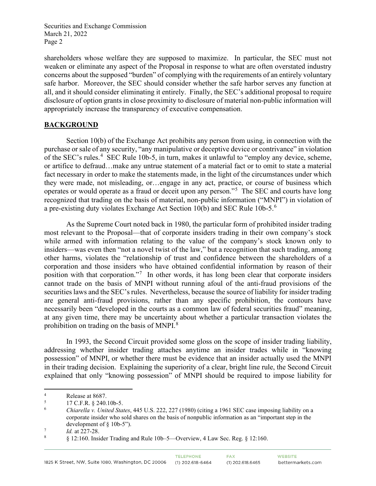shareholders whose welfare they are supposed to maximize. In particular, the SEC must not weaken or eliminate any aspect of the Proposal in response to what are often overstated industry concerns about the supposed "burden" of complying with the requirements of an entirely voluntary safe harbor. Moreover, the SEC should consider whether the safe harbor serves any function at all, and it should consider eliminating it entirely. Finally, the SEC's additional proposal to require disclosure of option grants in close proximity to disclosure of material non-public information will appropriately increase the transparency of executive compensation.

## **BACKGROUND**

Section 10(b) of the Exchange Act prohibits any person from using, in connection with the purchase or sale of any security, "any manipulative or deceptive device or contrivance" in violation of the SEC's rules.<sup>[4](#page-1-0)</sup> SEC Rule 10b-5, in turn, makes it unlawful to "employ any device, scheme, or artifice to defraud…make any untrue statement of a material fact or to omit to state a material fact necessary in order to make the statements made, in the light of the circumstances under which they were made, not misleading, or…engage in any act, practice, or course of business which operates or would operate as a fraud or deceit upon any person."[5](#page-1-1) The SEC and courts have long recognized that trading on the basis of material, non-public information ("MNPI") in violation of a pre-existing duty violates Exchange Act Section 10(b) and SEC Rule 10b-5. $^6$  $^6$ 

As the Supreme Court noted back in 1980, the particular form of prohibited insider trading most relevant to the Proposal—that of corporate insiders trading in their own company's stock while armed with information relating to the value of the company's stock known only to insiders—was even then "not a novel twist of the law," but a recognition that such trading, among other harms, violates the "relationship of trust and confidence between the shareholders of a corporation and those insiders who have obtained confidential information by reason of their position with that corporation."<sup>[7](#page-1-3)</sup> In other words, it has long been clear that corporate insiders cannot trade on the basis of MNPI without running afoul of the anti-fraud provisions of the securities laws and the SEC's rules. Nevertheless, because the source of liability for insider trading are general anti-fraud provisions, rather than any specific prohibition, the contours have necessarily been "developed in the courts as a common law of federal securities fraud" meaning, at any given time, there may be uncertainty about whether a particular transaction violates the prohibition on trading on the basis of MNPI.<sup>[8](#page-1-4)</sup>

In 1993, the Second Circuit provided some gloss on the scope of insider trading liability, addressing whether insider trading attaches anytime an insider trades while in "knowing possession" of MNPI, or whether there must be evidence that an insider actually used the MNPI in their trading decision. Explaining the superiority of a clear, bright line rule, the Second Circuit explained that only "knowing possession" of MNPI should be required to impose liability for

<span id="page-1-0"></span><sup>4</sup> Release at 8687.

<span id="page-1-1"></span><sup>5</sup> 17 C.F.R. § 240.10b-5.

<span id="page-1-2"></span><sup>6</sup> *Chiarella v. United States*, 445 U.S. 222, 227 (1980) (citing a 1961 SEC case imposing liability on a corporate insider who sold shares on the basis of nonpublic information as an "important step in the development of § 10b-5").

<span id="page-1-3"></span><sup>7</sup>  $Id.$  at 227-28.<br>8  $(12.160 \text{ Jpc})$ 

<span id="page-1-4"></span> <sup>§ 12:160.</sup> Insider Trading and Rule 10b–5—Overview, 4 Law Sec. Reg. § 12:160.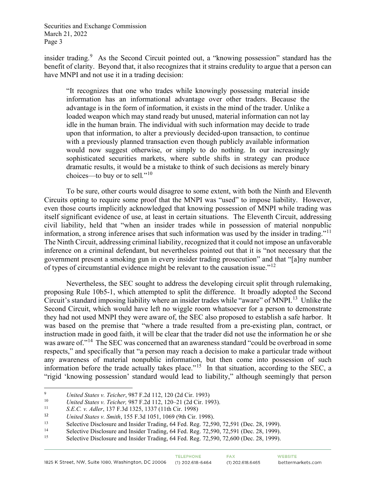insider trading.<sup>[9](#page-2-0)</sup> As the Second Circuit pointed out, a "knowing possession" standard has the benefit of clarity. Beyond that, it also recognizes that it strains credulity to argue that a person can have MNPI and not use it in a trading decision:

"It recognizes that one who trades while knowingly possessing material inside information has an informational advantage over other traders. Because the advantage is in the form of information, it exists in the mind of the trader. Unlike a loaded weapon which may stand ready but unused, material information can not lay idle in the human brain. The individual with such information may decide to trade upon that information, to alter a previously decided-upon transaction, to continue with a previously planned transaction even though publicly available information would now suggest otherwise, or simply to do nothing. In our increasingly sophisticated securities markets, where subtle shifts in strategy can produce dramatic results, it would be a mistake to think of such decisions as merely binary choices—to buy or to sell*.*"[10](#page-2-1)

To be sure, other courts would disagree to some extent, with both the Ninth and Eleventh Circuits opting to require some proof that the MNPI was "used" to impose liability. However, even those courts implicitly acknowledged that knowing possession of MNPI while trading was itself significant evidence of use, at least in certain situations. The Eleventh Circuit, addressing civil liability, held that "when an insider trades while in possession of material nonpublic information, a strong inference arises that such information was used by the insider in trading."[11](#page-2-2) The Ninth Circuit, addressing criminal liability, recognized that it could not impose an unfavorable inference on a criminal defendant, but nevertheless pointed out that it is "not necessary that the government present a smoking gun in every insider trading prosecution" and that "[a]ny number of types of circumstantial evidence might be relevant to the causation issue."[12](#page-2-3)

Nevertheless, the SEC sought to address the developing circuit split through rulemaking, proposing Rule 10b5-1, which attempted to split the difference. It broadly adopted the Second Circuit's standard imposing liability where an insider trades while "aware" of MNPI.<sup>13</sup> Unlike the Second Circuit, which would have left no wiggle room whatsoever for a person to demonstrate they had not used MNPI they were aware of, the SEC also proposed to establish a safe harbor. It was based on the premise that "where a trade resulted from a pre-existing plan, contract, or instruction made in good faith, it will be clear that the trader did not use the information he or she was aware of."<sup>[14](#page-2-5)</sup> The SEC was concerned that an awareness standard "could be overbroad in some respects," and specifically that "a person may reach a decision to make a particular trade without any awareness of material nonpublic information, but then come into possession of such information before the trade actually takes place."<sup>[15](#page-2-6)</sup> In that situation, according to the SEC, a "rigid 'knowing possession' standard would lead to liability," although seemingly that person

<span id="page-2-0"></span><sup>9</sup> *United States v. Teicher*, 987 F.2d 112, 120 (2d Cir. 1993)

<span id="page-2-1"></span><sup>10</sup> *United States v. Teicher, 987 F.2d 112, 120–21 (2d Cir. 1993).*<br><sup>11</sup> S.*F.C. v. Adler*, 137 F.3d 1325, 1337 (11th Cir. 1998).

<span id="page-2-3"></span><span id="page-2-2"></span><sup>11</sup> *S.E.C. v. Adler*, 137 F.3d 1325, 1337 (11th Cir. 1998)

<sup>12</sup> *United States v. Smith*, 155 F.3d 1051, 1069 (9th Cir. 1998).<br>
13 Selective Disclosure and Insider Trading, 64 Fed. Reg. 72,590, 72,591 (Dec. 28, 1999).

<span id="page-2-5"></span><span id="page-2-4"></span><sup>&</sup>lt;sup>14</sup><br>Selective Disclosure and Insider Trading, 64 Fed. Reg. 72,590, 72,591 (Dec. 28, 1999).<br>Selective Disclosure and Insider Trading, 64 Fed. Reg. 72,590, 72,600 (Dec. 28, 1999).

<span id="page-2-6"></span>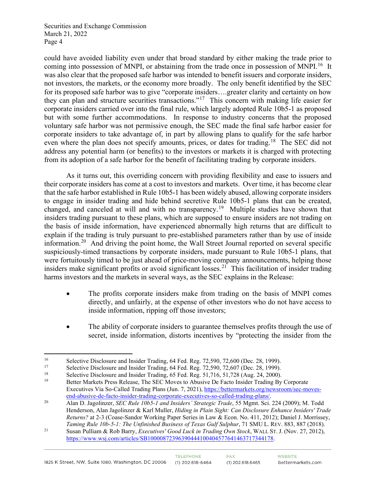could have avoided liability even under that broad standard by either making the trade prior to coming into possession of MNPI, or abstaining from the trade once in possession of MNPI.<sup>16</sup> It was also clear that the proposed safe harbor was intended to benefit issuers and corporate insiders, not investors, the markets, or the economy more broadly. The only benefit identified by the SEC for its proposed safe harbor was to give "corporate insiders….greater clarity and certainty on how they can plan and structure securities transactions."[17](#page-3-1) This concern with making life easier for corporate insiders carried over into the final rule, which largely adopted Rule 10b5-1 as proposed but with some further accommodations. In response to industry concerns that the proposed voluntary safe harbor was not permissive enough, the SEC made the final safe harbor easier for corporate insiders to take advantage of, in part by allowing plans to qualify for the safe harbor even where the plan does not specify amounts, prices, or dates for trading.<sup>18</sup> The SEC did not address any potential harm (or benefits) to the investors or markets it is charged with protecting from its adoption of a safe harbor for the benefit of facilitating trading by corporate insiders.

As it turns out, this overriding concern with providing flexibility and ease to issuers and their corporate insiders has come at a cost to investors and markets. Over time, it has become clear that the safe harbor established in Rule 10b5-1 has been widely abused, allowing corporate insiders to engage in insider trading and hide behind secretive Rule 10b5-1 plans that can be created, changed, and canceled at will and with no transparency.[19](#page-3-3) Multiple studies have shown that insiders trading pursuant to these plans, which are supposed to ensure insiders are not trading on the basis of inside information, have experienced abnormally high returns that are difficult to explain if the trading is truly pursuant to pre-established parameters rather than by use of inside information.<sup>[20](#page-3-4)</sup> And driving the point home, the Wall Street Journal reported on several specific suspiciously-timed transactions by corporate insiders, made pursuant to Rule 10b5-1 plans, that were fortuitously timed to be just ahead of price-moving company announcements, helping those insiders make significant profits or avoid significant losses.<sup>[21](#page-3-5)</sup> This facilitation of insider trading harms investors and the markets in several ways, as the SEC explains in the Release:

- The profits corporate insiders make from trading on the basis of MNPI comes directly, and unfairly, at the expense of other investors who do not have access to inside information, ripping off those investors;
- The ability of corporate insiders to guarantee themselves profits through the use of secret, inside information, distorts incentives by "protecting the insider from the

<span id="page-3-0"></span>Selective Disclosure and Insider Trading, 64 Fed. Reg. 72,590, 72,600 (Dec. 28, 1999).<br>
Selective Disclosure and Insider Trading, 64 Fed. Reg. 72,590, 72,607 (Dec. 28, 1999).<br>
Selective Disclosure and Insider Trading, 65 F

<span id="page-3-2"></span><span id="page-3-1"></span>

<span id="page-3-3"></span><sup>19</sup> Better Markets Press Release, The SEC Moves to Abusive De Facto Insider Trading By Corporate Executives Via So-Called Trading Plans (Jun. 7, 2021)[, https://bettermarkets.org/newsroom/sec-moves-](https://bettermarkets.org/newsroom/sec-moves-end-abusive-de-facto-insider-trading-corporate-executives-so-called-trading-plans/)

<span id="page-3-4"></span>[end-abusive-de-facto-insider-trading-corporate-executives-so-called-trading-plans/.](https://bettermarkets.org/newsroom/sec-moves-end-abusive-de-facto-insider-trading-corporate-executives-so-called-trading-plans/) 20 Alan D. Jagolinzer, *SEC Rule 10b5-1 and Insiders' Strategic Trade*, 55 Mgmt. Sci. 224 (2009); M. Todd Henderson, Alan Jagolinzer & Karl Muller, *Hiding in Plain Sight: Can Disclosure Enhance Insiders' Trade Returns?* at 2-3 (Coase-Sandor Working Paper Series in Law & Econ. No. 411, 2012); Daniel J. Morrissey,

<span id="page-3-5"></span>*Taming Rule 10b-5-1: The Unfinished Business of Texas Gulf Sulphur*, 71 SMU L. REV. 883, 887 (2018).<br><sup>21</sup> Susan Pulliam & Rob Barry, *Executives' Good Luck in Trading Own Stock*, WALL ST. J. (Nov. 27, 2012), [https://www.wsj.com/articles/SB10000872396390444100404577641463717344178.](https://www.wsj.com/articles/SB10000872396390444100404577641463717344178)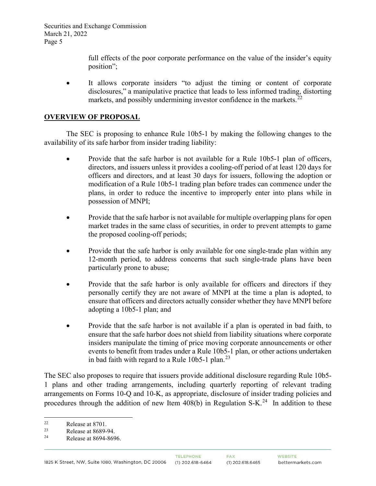> full effects of the poor corporate performance on the value of the insider's equity position";

It allows corporate insiders "to adjust the timing or content of corporate disclosures," a manipulative practice that leads to less informed trading, distorting markets, and possibly undermining investor confidence in the markets.<sup>[22](#page-4-0)</sup>

# **OVERVIEW OF PROPOSAL**

The SEC is proposing to enhance Rule 10b5-1 by making the following changes to the availability of its safe harbor from insider trading liability:

- Provide that the safe harbor is not available for a Rule 10b5-1 plan of officers, directors, and issuers unless it provides a cooling-off period of at least 120 days for officers and directors, and at least 30 days for issuers, following the adoption or modification of a Rule 10b5-1 trading plan before trades can commence under the plans, in order to reduce the incentive to improperly enter into plans while in possession of MNPI;
- Provide that the safe harbor is not available for multiple overlapping plans for open market trades in the same class of securities, in order to prevent attempts to game the proposed cooling-off periods;
- Provide that the safe harbor is only available for one single-trade plan within any 12-month period, to address concerns that such single-trade plans have been particularly prone to abuse;
- Provide that the safe harbor is only available for officers and directors if they personally certify they are not aware of MNPI at the time a plan is adopted, to ensure that officers and directors actually consider whether they have MNPI before adopting a 10b5-1 plan; and
- Provide that the safe harbor is not available if a plan is operated in bad faith, to ensure that the safe harbor does not shield from liability situations where corporate insiders manipulate the timing of price moving corporate announcements or other events to benefit from trades under a Rule 10b5-1 plan, or other actions undertaken in bad faith with regard to a Rule  $10b5$ -1 plan.<sup>[23](#page-4-1)</sup>

The SEC also proposes to require that issuers provide additional disclosure regarding Rule 10b5- 1 plans and other trading arrangements, including quarterly reporting of relevant trading arrangements on Forms 10-Q and 10-K, as appropriate, disclosure of insider trading policies and procedures through the addition of new Item  $408(b)$  in Regulation S-K.<sup>24</sup> In addition to these

<span id="page-4-0"></span><sup>&</sup>lt;sup>22</sup> Release at 8701.

<span id="page-4-1"></span><sup>&</sup>lt;sup>23</sup> Release at 8689-94.

<span id="page-4-2"></span>Release at 8694-8696.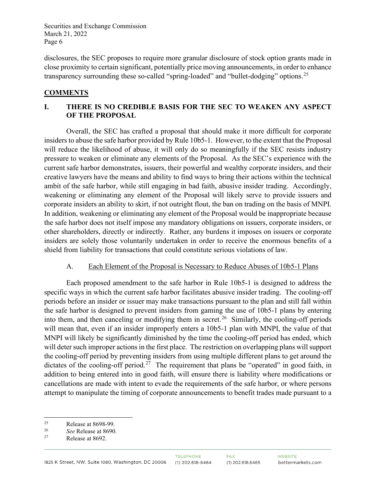disclosures, the SEC proposes to require more granular disclosure of stock option grants made in close proximity to certain significant, potentially price moving announcements, in order to enhance transparency surrounding these so-called "spring-loaded" and "bullet-dodging" options.<sup>[25](#page-5-0)</sup>

# **COMMENTS**

# **I. THERE IS NO CREDIBLE BASIS FOR THE SEC TO WEAKEN ANY ASPECT OF THE PROPOSAL**

Overall, the SEC has crafted a proposal that should make it more difficult for corporate insiders to abuse the safe harbor provided by Rule 10b5-1. However, to the extent that the Proposal will reduce the likelihood of abuse, it will only do so meaningfully if the SEC resists industry pressure to weaken or eliminate any elements of the Proposal. As the SEC's experience with the current safe harbor demonstrates, issuers, their powerful and wealthy corporate insiders, and their creative lawyers have the means and ability to find ways to bring their actions within the technical ambit of the safe harbor, while still engaging in bad faith, abusive insider trading. Accordingly, weakening or eliminating any element of the Proposal will likely serve to provide issuers and corporate insiders an ability to skirt, if not outright flout, the ban on trading on the basis of MNPI. In addition, weakening or eliminating any element of the Proposal would be inappropriate because the safe harbor does not itself impose any mandatory obligations on issuers, corporate insiders, or other shareholders, directly or indirectly. Rather, any burdens it imposes on issuers or corporate insiders are solely those voluntarily undertaken in order to receive the enormous benefits of a shield from liability for transactions that could constitute serious violations of law.

## A. Each Element of the Proposal is Necessary to Reduce Abuses of 10b5-1 Plans

Each proposed amendment to the safe harbor in Rule 10b5-1 is designed to address the specific ways in which the current safe harbor facilitates abusive insider trading. The cooling-off periods before an insider or issuer may make transactions pursuant to the plan and still fall within the safe harbor is designed to prevent insiders from gaming the use of 10b5-1 plans by entering into them, and then canceling or modifying them in secret.<sup>[26](#page-5-1)</sup> Similarly, the cooling-off periods will mean that, even if an insider improperly enters a 10b5-1 plan with MNPI, the value of that MNPI will likely be significantly diminished by the time the cooling-off period has ended, which will deter such improper actions in the first place. The restriction on overlapping plans will support the cooling-off period by preventing insiders from using multiple different plans to get around the dictates of the cooling-off period.<sup>27</sup> The requirement that plans be "operated" in good faith, in addition to being entered into in good faith, will ensure there is liability where modifications or cancellations are made with intent to evade the requirements of the safe harbor, or where persons attempt to manipulate the timing of corporate announcements to benefit trades made pursuant to a

<span id="page-5-0"></span><sup>&</sup>lt;sup>25</sup> Release at 8698-99.<br> $\frac{26}{100}$  Release at 8600

<span id="page-5-2"></span><span id="page-5-1"></span><sup>&</sup>lt;sup>26</sup> *See* Release at 8690.<br><sup>27</sup> Release at 8692.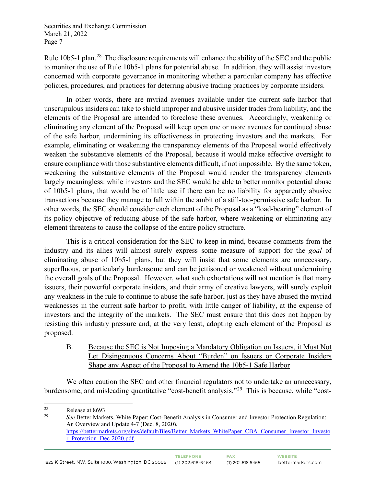Rule 10b5-1 plan.<sup>28</sup> The disclosure requirements will enhance the ability of the SEC and the public to monitor the use of Rule 10b5-1 plans for potential abuse. In addition, they will assist investors concerned with corporate governance in monitoring whether a particular company has effective policies, procedures, and practices for deterring abusive trading practices by corporate insiders.

In other words, there are myriad avenues available under the current safe harbor that unscrupulous insiders can take to shield improper and abusive insider trades from liability, and the elements of the Proposal are intended to foreclose these avenues. Accordingly, weakening or eliminating any element of the Proposal will keep open one or more avenues for continued abuse of the safe harbor, undermining its effectiveness in protecting investors and the markets. For example, eliminating or weakening the transparency elements of the Proposal would effectively weaken the substantive elements of the Proposal, because it would make effective oversight to ensure compliance with those substantive elements difficult, if not impossible. By the same token, weakening the substantive elements of the Proposal would render the transparency elements largely meaningless: while investors and the SEC would be able to better monitor potential abuse of 10b5-1 plans, that would be of little use if there can be no liability for apparently abusive transactions because they manage to fall within the ambit of a still-too-permissive safe harbor. In other words, the SEC should consider each element of the Proposal as a "load-bearing" element of its policy objective of reducing abuse of the safe harbor, where weakening or eliminating any element threatens to cause the collapse of the entire policy structure.

This is a critical consideration for the SEC to keep in mind, because comments from the industry and its allies will almost surely express some measure of support for the *goal* of eliminating abuse of 10b5-1 plans, but they will insist that some elements are unnecessary, superfluous, or particularly burdensome and can be jettisoned or weakened without undermining the overall goals of the Proposal. However, what such exhortations will not mention is that many issuers, their powerful corporate insiders, and their army of creative lawyers, will surely exploit any weakness in the rule to continue to abuse the safe harbor, just as they have abused the myriad weaknesses in the current safe harbor to profit, with little danger of liability, at the expense of investors and the integrity of the markets. The SEC must ensure that this does not happen by resisting this industry pressure and, at the very least, adopting each element of the Proposal as proposed.

B. Because the SEC is Not Imposing a Mandatory Obligation on Issuers, it Must Not Let Disingenuous Concerns About "Burden" on Issuers or Corporate Insiders Shape any Aspect of the Proposal to Amend the 10b5-1 Safe Harbor

We often caution the SEC and other financial regulators not to undertake an unnecessary, burdensome, and misleading quantitative "cost-benefit analysis."[29](#page-6-1) This is because, while "cost-

<span id="page-6-0"></span><sup>&</sup>lt;sup>28</sup> Release at 8693.<br><sup>29</sup> See Better Marke

<span id="page-6-1"></span><sup>29</sup> *See* Better Markets, White Paper: Cost-Benefit Analysis in Consumer and Investor Protection Regulation: An Overview and Update 4-7 (Dec. 8, 2020), [https://bettermarkets.org/sites/default/files/Better\\_Markets\\_WhitePaper\\_CBA\\_Consumer\\_Investor\\_Investo](https://bettermarkets.org/sites/default/files/Better_Markets_WhitePaper_CBA_Consumer_Investor_Investor_Protection_Dec-2020.pdf) r Protection Dec-2020.pdf.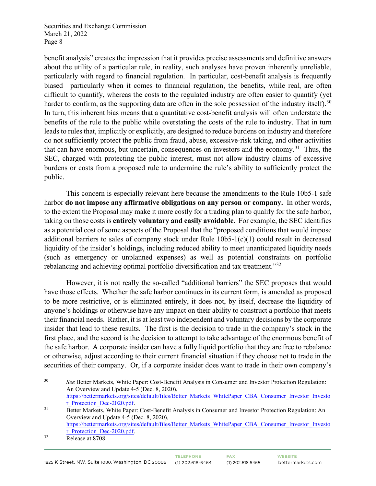benefit analysis" creates the impression that it provides precise assessments and definitive answers about the utility of a particular rule, in reality, such analyses have proven inherently unreliable, particularly with regard to financial regulation. In particular, cost-benefit analysis is frequently biased—particularly when it comes to financial regulation, the benefits, while real, are often difficult to quantify, whereas the costs to the regulated industry are often easier to quantify (yet harder to confirm, as the supporting data are often in the sole possession of the industry itself).<sup>[30](#page-7-0)</sup> In turn, this inherent bias means that a quantitative cost-benefit analysis will often understate the benefits of the rule to the public while overstating the costs of the rule to industry. That in turn leads to rules that, implicitly or explicitly, are designed to reduce burdens on industry and therefore do not sufficiently protect the public from fraud, abuse, excessive-risk taking, and other activities that can have enormous, but uncertain, consequences on investors and the economy.<sup>31</sup> Thus, the SEC, charged with protecting the public interest, must not allow industry claims of excessive burdens or costs from a proposed rule to undermine the rule's ability to sufficiently protect the public.

This concern is especially relevant here because the amendments to the Rule 10b5-1 safe harbor **do not impose any affirmative obligations on any person or company.** In other words, to the extent the Proposal may make it more costly for a trading plan to qualify for the safe harbor, taking on those costs is **entirely voluntary and easily avoidable**. For example, the SEC identifies as a potential cost of some aspects of the Proposal that the "proposed conditions that would impose additional barriers to sales of company stock under Rule  $10b5-1(c)(1)$  could result in decreased liquidity of the insider's holdings, including reduced ability to meet unanticipated liquidity needs (such as emergency or unplanned expenses) as well as potential constraints on portfolio rebalancing and achieving optimal portfolio diversification and tax treatment."<sup>[32](#page-7-2)</sup>

However, it is not really the so-called "additional barriers" the SEC proposes that would have those effects. Whether the safe harbor continues in its current form, is amended as proposed to be more restrictive, or is eliminated entirely, it does not, by itself, decrease the liquidity of anyone's holdings or otherwise have any impact on their ability to construct a portfolio that meets their financial needs. Rather, it is at least two independent and voluntary decisions by the corporate insider that lead to these results. The first is the decision to trade in the company's stock in the first place, and the second is the decision to attempt to take advantage of the enormous benefit of the safe harbor. A corporate insider can have a fully liquid portfolio that they are free to rebalance or otherwise, adjust according to their current financial situation if they choose not to trade in the securities of their company. Or, if a corporate insider does want to trade in their own company's

<span id="page-7-0"></span><sup>30</sup> *See* Better Markets, White Paper: Cost-Benefit Analysis in Consumer and Investor Protection Regulation: An Overview and Update 4-5 (Dec. 8, 2020), [https://bettermarkets.org/sites/default/files/Better\\_Markets\\_WhitePaper\\_CBA\\_Consumer\\_Investor\\_Investo](https://bettermarkets.org/sites/default/files/Better_Markets_WhitePaper_CBA_Consumer_Investor_Investor_Protection_Dec-2020.pdf) <u>r\_Protection\_Dec-2020.pdf</u>.<br><sup>31</sup> Better Markets, White Paper: Cost-Benefit Analysis in Consumer and Investor Protection Regulation: An

<span id="page-7-1"></span>Overview and Update 4-5 (Dec. 8, 2020), [https://bettermarkets.org/sites/default/files/Better\\_Markets\\_WhitePaper\\_CBA\\_Consumer\\_Investor\\_Investo](https://bettermarkets.org/sites/default/files/Better_Markets_WhitePaper_CBA_Consumer_Investor_Investor_Protection_Dec-2020.pdf) [r\\_Protection\\_Dec-2020.pdf.](https://bettermarkets.org/sites/default/files/Better_Markets_WhitePaper_CBA_Consumer_Investor_Investor_Protection_Dec-2020.pdf)<br>Release at 8708.

<span id="page-7-2"></span>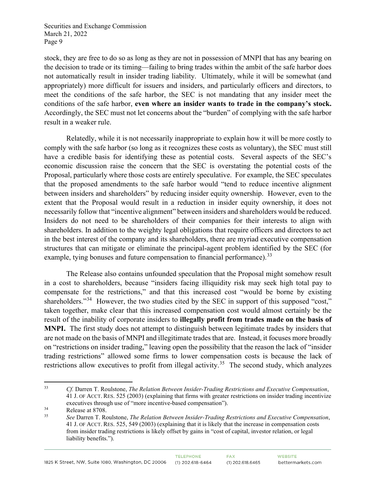stock, they are free to do so as long as they are not in possession of MNPI that has any bearing on the decision to trade or its timing—failing to bring trades within the ambit of the safe harbor does not automatically result in insider trading liability. Ultimately, while it will be somewhat (and appropriately) more difficult for issuers and insiders, and particularly officers and directors, to meet the conditions of the safe harbor, the SEC is not mandating that any insider meet the conditions of the safe harbor, **even where an insider wants to trade in the company's stock.** Accordingly, the SEC must not let concerns about the "burden" of complying with the safe harbor result in a weaker rule.

Relatedly, while it is not necessarily inappropriate to explain how it will be more costly to comply with the safe harbor (so long as it recognizes these costs as voluntary), the SEC must still have a credible basis for identifying these as potential costs. Several aspects of the SEC's economic discussion raise the concern that the SEC is overstating the potential costs of the Proposal, particularly where those costs are entirely speculative. For example, the SEC speculates that the proposed amendments to the safe harbor would "tend to reduce incentive alignment between insiders and shareholders" by reducing insider equity ownership. However, even to the extent that the Proposal would result in a reduction in insider equity ownership, it does not necessarily follow that "incentive alignment" between insiders and shareholders would be reduced. Insiders do not need to be shareholders of their companies for their interests to align with shareholders. In addition to the weighty legal obligations that require officers and directors to act in the best interest of the company and its shareholders, there are myriad executive compensation structures that can mitigate or eliminate the principal-agent problem identified by the SEC (for example, tying bonuses and future compensation to financial performance).<sup>[33](#page-8-0)</sup>

The Release also contains unfounded speculation that the Proposal might somehow result in a cost to shareholders, because "insiders facing illiquidity risk may seek high total pay to compensate for the restrictions," and that this increased cost "would be borne by existing shareholders."<sup>34</sup> However, the two studies cited by the SEC in support of this supposed "cost," taken together, make clear that this increased compensation cost would almost certainly be the result of the inability of corporate insiders to **illegally profit from trades made on the basis of MNPI.** The first study does not attempt to distinguish between legitimate trades by insiders that are not made on the basis of MNPI and illegitimate trades that are. Instead, it focuses more broadly on "restrictions on insider trading," leaving open the possibility that the reason the lack of "insider trading restrictions" allowed some firms to lower compensation costs is because the lack of restrictions allow executives to profit from illegal activity.<sup>[35](#page-8-2)</sup> The second study, which analyzes

<span id="page-8-0"></span><sup>33</sup> *Cf.* Darren T. Roulstone, *The Relation Between Insider-Trading Restrictions and Executive Compensation*, 41 J. OF ACCT. RES. 525 (2003) (explaining that firms with greater restrictions on insider trading incentivize executives through use of "more incentive-based compensation").

<span id="page-8-2"></span><span id="page-8-1"></span> $rac{34}{35}$  Release at 8708.

<sup>35</sup> *See* Darren T. Roulstone, *The Relation Between Insider-Trading Restrictions and Executive Compensation*, 41 J. OF ACCT. RES. 525, 549 (2003) (explaining that it is likely that the increase in compensation costs from insider trading restrictions is likely offset by gains in "cost of capital, investor relation, or legal liability benefits.").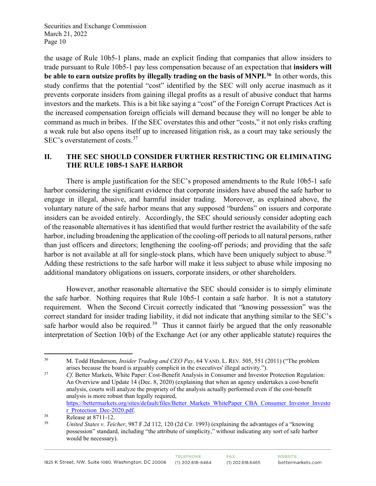the usage of Rule 10b5-1 plans, made an explicit finding that companies that allow insiders to trade pursuant to Rule 10b5-1 pay less compensation because of an expectation that **insiders will be able to earn outsize profits by illegally trading on the basis of MNPI.[36](#page-9-0)** In other words, this study confirms that the potential "cost" identified by the SEC will only accrue inasmuch as it prevents corporate insiders from gaining illegal profits as a result of abusive conduct that harms investors and the markets. This is a bit like saying a "cost" of the Foreign Corrupt Practices Act is the increased compensation foreign officials will demand because they will no longer be able to command as much in bribes. If the SEC overstates this and other "costs," it not only risks crafting a weak rule but also opens itself up to increased litigation risk, as a court may take seriously the SEC's overstatement of costs.<sup>[37](#page-9-1)</sup>

## **II. THE SEC SHOULD CONSIDER FURTHER RESTRICTING OR ELIMINATING THE RULE 10B5-1 SAFE HARBOR**

There is ample justification for the SEC's proposed amendments to the Rule 10b5-1 safe harbor considering the significant evidence that corporate insiders have abused the safe harbor to engage in illegal, abusive, and harmful insider trading. Moreover, as explained above, the voluntary nature of the safe harbor means that any supposed "burdens" on issuers and corporate insiders can be avoided entirely. Accordingly, the SEC should seriously consider adopting each of the reasonable alternatives it has identified that would further restrict the availability of the safe harbor, including broadening the application of the cooling-off periods to all natural persons, rather than just officers and directors; lengthening the cooling-off periods; and providing that the safe harbor is not available at all for single-stock plans, which have been uniquely subject to abuse.<sup>[38](#page-9-2)</sup> Adding these restrictions to the safe harbor will make it less subject to abuse while imposing no additional mandatory obligations on issuers, corporate insiders, or other shareholders.

However, another reasonable alternative the SEC should consider is to simply eliminate the safe harbor. Nothing requires that Rule 10b5-1 contain a safe harbor. It is not a statutory requirement. When the Second Circuit correctly indicated that "knowing possession" was the correct standard for insider trading liability, it did not indicate that anything similar to the SEC's safe harbor would also be required.<sup>39</sup> Thus it cannot fairly be argued that the only reasonable interpretation of Section 10(b) of the Exchange Act (or any other applicable statute) requires the

<span id="page-9-0"></span><sup>36</sup> M. Todd Henderson, *Insider Trading and CEO Pay*, 64 VAND. L. REV. 505, 551 (2011) ("The problem arises because the board is arguably complicit in the executives' illegal activity.").

<span id="page-9-1"></span><sup>&</sup>lt;sup>37</sup> *Cf.* Better Markets, White Paper: Cost-Benefit Analysis in Consumer and Investor Protection Regulation: An Overview and Update 14 (Dec. 8, 2020) (explaining that when an agency undertakes a cost-benefit analysis, courts will analyze the propriety of the analysis actually performed even if the cost-benefit analysis is more robust than legally required, [https://bettermarkets.org/sites/default/files/Better\\_Markets\\_WhitePaper\\_CBA\\_Consumer\\_Investor\\_Investo](https://bettermarkets.org/sites/default/files/Better_Markets_WhitePaper_CBA_Consumer_Investor_Investor_Protection_Dec-2020.pdf)

<span id="page-9-3"></span>

<span id="page-9-2"></span>[r\\_Protection\\_Dec-2020.pdf.](https://bettermarkets.org/sites/default/files/Better_Markets_WhitePaper_CBA_Consumer_Investor_Investor_Protection_Dec-2020.pdf) 38 Release at 8711-12. 39 *United States v. Teicher*, 987 F.2d 112, 120 (2d Cir. 1993) (explaining the advantages of a "knowing possession" standard, including "the attribute of simplicity," without indicating any sort of safe harbor would be necessary).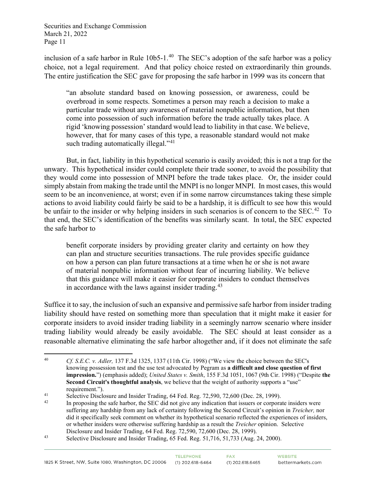inclusion of a safe harbor in Rule  $10b5$ -1.<sup>40</sup> The SEC's adoption of the safe harbor was a policy choice, not a legal requirement. And that policy choice rested on extraordinarily thin grounds. The entire justification the SEC gave for proposing the safe harbor in 1999 was its concern that

"an absolute standard based on knowing possession, or awareness, could be overbroad in some respects. Sometimes a person may reach a decision to make a particular trade without any awareness of material nonpublic information, but then come into possession of such information before the trade actually takes place. A rigid 'knowing possession' standard would lead to liability in that case. We believe, however, that for many cases of this type, a reasonable standard would not make such trading automatically illegal."<sup>[41](#page-10-1)</sup>

But, in fact, liability in this hypothetical scenario is easily avoided; this is not a trap for the unwary. This hypothetical insider could complete their trade sooner, to avoid the possibility that they would come into possession of MNPI before the trade takes place. Or, the insider could simply abstain from making the trade until the MNPI is no longer MNPI. In most cases, this would seem to be an inconvenience, at worst; even if in some narrow circumstances taking these simple actions to avoid liability could fairly be said to be a hardship, it is difficult to see how this would be unfair to the insider or why helping insiders in such scenarios is of concern to the SEC.<sup>[42](#page-10-2)</sup> To that end, the SEC's identification of the benefits was similarly scant. In total, the SEC expected the safe harbor to

benefit corporate insiders by providing greater clarity and certainty on how they can plan and structure securities transactions. The rule provides specific guidance on how a person can plan future transactions at a time when he or she is not aware of material nonpublic information without fear of incurring liability. We believe that this guidance will make it easier for corporate insiders to conduct themselves in accordance with the laws against insider trading.<sup>[43](#page-10-3)</sup>

Suffice it to say, the inclusion of such an expansive and permissive safe harbor from insider trading liability should have rested on something more than speculation that it might make it easier for corporate insiders to avoid insider trading liability in a seemingly narrow scenario where insider trading liability would already be easily avoidable. The SEC should at least consider as a reasonable alternative eliminating the safe harbor altogether and, if it does not eliminate the safe

<span id="page-10-0"></span><sup>40</sup> *Cf. S.E.C. v. Adler,* 137 F.3d 1325, 1337 (11th Cir. 1998) ("We view the choice between the SEC's knowing possession test and the use test advocated by Pegram as **a difficult and close question of first impression.**") (emphasis added); *United States v. Smith*, 155 F.3d 1051, 1067 (9th Cir. 1998) ("Despite **the Second Circuit's thoughtful analysis**, we believe that the weight of authority supports a "use" requirement.").

<span id="page-10-2"></span><span id="page-10-1"></span><sup>&</sup>lt;sup>41</sup> Selective Disclosure and Insider Trading, 64 Fed. Reg. 72,590, 72,600 (Dec. 28, 1999).<br><sup>42</sup> In proposing the safe harbor, the SEC did not give any indication that issuers or corporate insiders were suffering any hardship from any lack of certainty following the Second Circuit's opinion in *Treicher,* nor did it specifically seek comment on whether its hypothetical scenario reflected the experiences of insiders, or whether insiders were otherwise suffering hardship as a result the *Treicher* opinion. Selective Disclosure and Insider Trading, 64 Fed. Reg. 72,590, 72,600 (Dec. 28, 1999).<br>Selective Disclosure and Insider Trading, 65 Fed. Reg. 51,716, 51,733 (Aug. 24, 2000).

<span id="page-10-3"></span>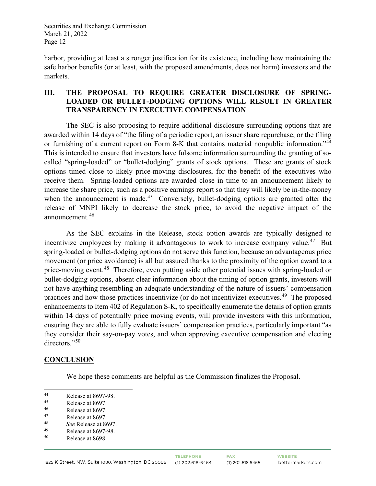harbor, providing at least a stronger justification for its existence, including how maintaining the safe harbor benefits (or at least, with the proposed amendments, does not harm) investors and the markets.

## **III. THE PROPOSAL TO REQUIRE GREATER DISCLOSURE OF SPRING-LOADED OR BULLET-DODGING OPTIONS WILL RESULT IN GREATER TRANSPARENCY IN EXECUTIVE COMPENSATION**

The SEC is also proposing to require additional disclosure surrounding options that are awarded within 14 days of "the filing of a periodic report, an issuer share repurchase, or the filing or furnishing of a current report on Form 8-K that contains material nonpublic information."<sup>[44](#page-11-0)</sup> This is intended to ensure that investors have fulsome information surrounding the granting of socalled "spring-loaded" or "bullet-dodging" grants of stock options. These are grants of stock options timed close to likely price-moving disclosures, for the benefit of the executives who receive them. Spring-loaded options are awarded close in time to an announcement likely to increase the share price, such as a positive earnings report so that they will likely be in-the-money when the announcement is made.<sup>45</sup> Conversely, bullet-dodging options are granted after the release of MNPI likely to decrease the stock price, to avoid the negative impact of the announcement.[46](#page-11-2) 

As the SEC explains in the Release, stock option awards are typically designed to incentivize employees by making it advantageous to work to increase company value.<sup>[47](#page-11-3)</sup> But spring-loaded or bullet-dodging options do not serve this function, because an advantageous price movement (or price avoidance) is all but assured thanks to the proximity of the option award to a price-moving event.<sup>48</sup> Therefore, even putting aside other potential issues with spring-loaded or bullet-dodging options, absent clear information about the timing of option grants, investors will not have anything resembling an adequate understanding of the nature of issuers' compensation practices and how those practices incentivize (or do not incentivize) executives.<sup>[49](#page-11-5)</sup> The proposed enhancements to Item 402 of Regulation S-K, to specifically enumerate the details of option grants within 14 days of potentially price moving events, will provide investors with this information, ensuring they are able to fully evaluate issuers' compensation practices, particularly important "as they consider their say-on-pay votes, and when approving executive compensation and electing directors."<sup>[50](#page-11-6)</sup>

## **CONCLUSION**

We hope these comments are helpful as the Commission finalizes the Proposal.

<span id="page-11-0"></span><sup>44</sup> Release at 8697-98.<br> $R_{\text{e}}$ 

<span id="page-11-1"></span> $\frac{45}{46}$  Release at 8697.

<span id="page-11-3"></span><span id="page-11-2"></span> $^{46}$  Release at 8697.<br><sup>47</sup> Release at 8697

<sup>&</sup>lt;sup>47</sup> Release at 8697.

<span id="page-11-4"></span><sup>48</sup> *See* Release at 8697.

<span id="page-11-5"></span> $^{49}$  Release at 8697-98.<br> $^{50}$  Release at 8608

<span id="page-11-6"></span>Release at 8698.